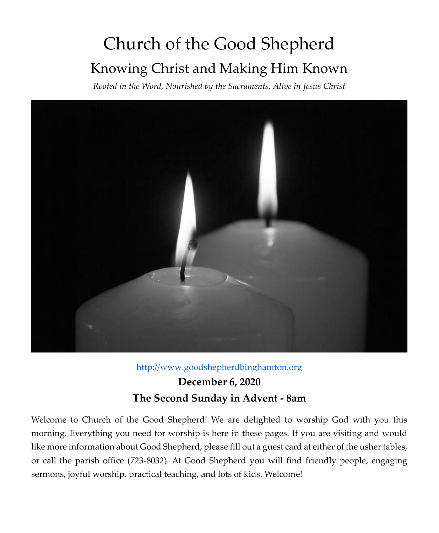# Church of the Good Shepherd Knowing Christ and Making Him Known

*Rooted in the Word, Nourished by the Sacraments, Alive in Jesus Christ*



[http://www.goodshepherdbinghamton.org](http://www.goodshepherdbinghamton.org/)

## **December 6, 2020 The Second Sunday in Advent - 8am**

Welcome to Church of the Good Shepherd! We are delighted to worship God with you this morning. Everything you need for worship is here in these pages. If you are visiting and would like more information about Good Shepherd, please fill out a guest card at either of the usher tables, or call the parish office (723-8032). At Good Shepherd you will find friendly people, engaging sermons, joyful worship, practical teaching, and lots of kids. Welcome!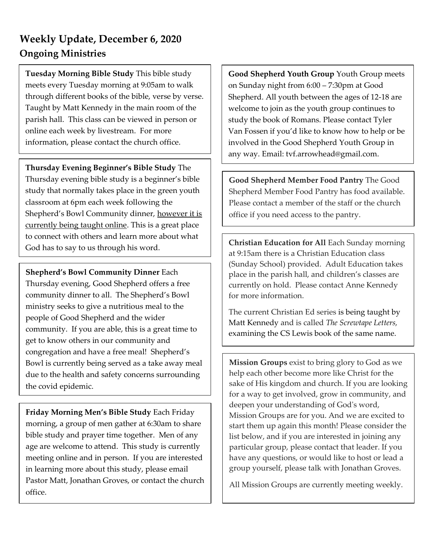## **Weekly Update, December 6, 2020 Ongoing Ministries**

**Tuesday Morning Bible Study** This bible study meets every Tuesday morning at 9:05am to walk through different books of the bible, verse by verse. Taught by Matt Kennedy in the main room of the parish hall. This class can be viewed in person or online each week by livestream. For more information, please contact the church office.

**Thursday Evening Beginner's Bible Study** The Thursday evening bible study is a beginner's bible study that normally takes place in the green youth classroom at 6pm each week following the Shepherd's Bowl Community dinner, however it is currently being taught online. This is a great place to connect with others and learn more about what God has to say to us through his word.

**Shepherd's Bowl Community Dinner** Each Thursday evening, Good Shepherd offers a free community dinner to all. The Shepherd's Bowl ministry seeks to give a nutritious meal to the people of Good Shepherd and the wider community. If you are able, this is a great time to get to know others in our community and congregation and have a free meal! Shepherd's Bowl is currently being served as a take away meal due to the health and safety concerns surrounding the covid epidemic.

**Friday Morning Men's Bible Study** Each Friday morning, a group of men gather at 6:30am to share bible study and prayer time together. Men of any age are welcome to attend. This study is currently meeting online and in person. If you are interested in learning more about this study, please email Pastor Matt, Jonathan Groves, or contact the church office.

**Good Shepherd Youth Group** Youth Group meets on Sunday night from 6:00 – 7:30pm at Good Shepherd. All youth between the ages of 12-18 are welcome to join as the youth group continues to study the book of Romans. Please contact Tyler Van Fossen if you'd like to know how to help or be involved in the Good Shepherd Youth Group in any way. Email: tvf.arrowhead@gmail.com.

**Good Shepherd Member Food Pantry** The Good Shepherd Member Food Pantry has food available. Please contact a member of the staff or the church office if you need access to the pantry.

**Christian Education for All** Each Sunday morning at 9:15am there is a Christian Education class (Sunday School) provided. Adult Education takes place in the parish hall, and children's classes are currently on hold. Please contact Anne Kennedy for more information.

The current Christian Ed series is being taught by Matt Kennedy and is called *The Screwtape Letters,*  examining the CS Lewis book of the same name.

**Mission Groups** exist to bring glory to God as we help each other become more like Christ for the sake of His kingdom and church. If you are looking for a way to get involved, grow in community, and deepen your understanding of God's word, Mission Groups are for you. And we are excited to start them up again this month! Please consider the list below, and if you are interested in joining any particular group, please contact that leader. If you have any questions, or would like to host or lead a group yourself, please talk with Jonathan Groves.

All Mission Groups are currently meeting weekly.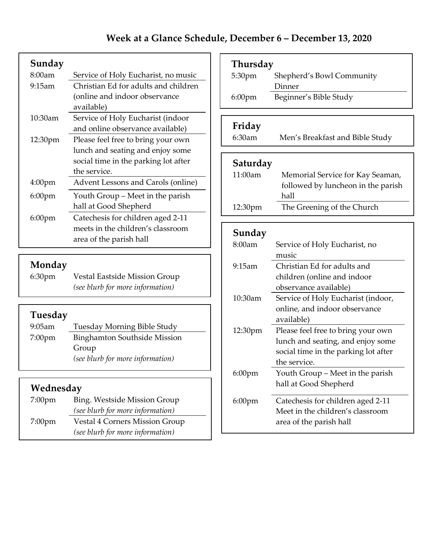| Sunday             |                                      |
|--------------------|--------------------------------------|
| 8:00am             | Service of Holy Eucharist, no music  |
| 9:15am             | Christian Ed for adults and children |
|                    | (online and indoor observance)       |
|                    | available)                           |
| $10:30$ am         | Service of Holy Eucharist (indoor    |
|                    | and online observance available)     |
| 12:30pm            | Please feel free to bring your own   |
|                    | lunch and seating and enjoy some     |
|                    | social time in the parking lot after |
|                    | the service.                         |
| 4:00 <sub>pm</sub> | Advent Lessons and Carols (online)   |
| $6:00 \text{pm}$   | Youth Group - Meet in the parish     |
|                    | hall at Good Shepherd                |
| $6:00$ pm          | Catechesis for children aged 2-11    |
|                    | meets in the children's classroom    |
|                    | area of the parish hall              |
|                    |                                      |

**Monday**<br>6:30pm Vestal Eastside Mission Group *(see blurb for more information)*

#### **Tuesday**

| $9:05$ am          | Tuesday Morning Bible Study      |
|--------------------|----------------------------------|
| 7:00 <sub>pm</sub> | Binghamton Southside Mission     |
|                    | Group                            |
|                    | (see blurb for more information) |

#### **Wednesday**

| 7:00 <sub>pm</sub> | Bing. Westside Mission Group                                       |
|--------------------|--------------------------------------------------------------------|
|                    | (see blurb for more information)                                   |
| $7:00 \text{pm}$   | Vestal 4 Corners Mission Group<br>(see blurb for more information) |

| Thursday  |                                      |
|-----------|--------------------------------------|
| 5:30pm    | Shepherd's Bowl Community            |
|           | Dinner                               |
| $6:00$ pm | Beginner's Bible Study               |
|           |                                      |
| Friday    |                                      |
| 6:30am    | Men's Breakfast and Bible Study      |
|           |                                      |
| Saturday  |                                      |
| 11:00am   | Memorial Service for Kay Seaman,     |
|           | followed by luncheon in the parish   |
|           | hall                                 |
| 12:30pm   | The Greening of the Church           |
|           |                                      |
| Sunday    |                                      |
| 8:00am    | Service of Holy Eucharist, no        |
|           | music                                |
| 9:15am    | Christian Ed for adults and          |
|           | children (online and indoor          |
|           | observance available)                |
| 10:30am   | Service of Holy Eucharist (indoor,   |
|           | online, and indoor observance        |
|           | available)                           |
| 12:30pm   | Please feel free to bring your own   |
|           | lunch and seating, and enjoy some    |
|           | social time in the parking lot after |
|           | the service.                         |
| $6:00$ pm | Youth Group - Meet in the parish     |
|           | hall at Good Shepherd                |
| 6:00pm    | Catechesis for children aged 2-11    |
|           | Meet in the children's classroom     |
|           | area of the parish hall              |
|           |                                      |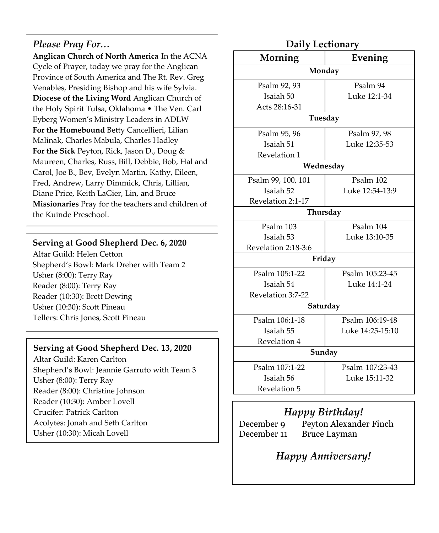#### *Please Pray For…*

**Anglican Church of North America** In the ACNA Cycle of Prayer, today we pray for the Anglican Province of South America and The Rt. Rev. Greg Venables, Presiding Bishop and his wife Sylvia. **Diocese of the Living Word** Anglican Church of the Holy Spirit Tulsa, Oklahoma • The Ven. Carl Eyberg Women's Ministry Leaders in ADLW **For the Homebound** Betty Cancellieri, Lilian Malinak, Charles Mabula, Charles Hadley **For the Sick** Peyton, Rick, Jason D., Doug & Maureen, Charles, Russ, Bill, Debbie, Bob, Hal and Carol, Joe B., Bev, Evelyn Martin, Kathy, Eileen, Fred, Andrew, Larry Dimmick, Chris, Lillian, Diane Price, Keith LaGier, Lin, and Bruce **Missionaries** Pray for the teachers and children of the Kuinde Preschool.

#### **Serving at Good Shepherd Dec. 6, 2020**

Altar Guild: Helen Cetton Shepherd's Bowl: Mark Dreher with Team 2 Usher (8:00): Terry Ray Reader (8:00): Terry Ray Reader (10:30): Brett Dewing Usher (10:30): Scott Pineau Tellers: Chris Jones, Scott Pineau

#### **Serving at Good Shepherd Dec. 13, 2020**

Altar Guild: Karen Carlton Shepherd's Bowl: Jeannie Garruto with Team 3 Usher (8:00): Terry Ray Reader (8:00): Christine Johnson Reader (10:30): Amber Lovell Crucifer: Patrick Carlton Acolytes: Jonah and Seth Carlton Usher (10:30): Micah Lovell

| Daily Lectionary    |                  |
|---------------------|------------------|
| Morning             | Evening          |
|                     | Monday           |
| Psalm 92, 93        | Psalm 94         |
| Isaiah 50           | Luke 12:1-34     |
| Acts 28:16-31       |                  |
|                     | Tuesday          |
| Psalm 95, 96        | Psalm 97, 98     |
| Isaiah 51           | Luke 12:35-53    |
| Revelation 1        |                  |
|                     | Wednesday        |
| Psalm 99, 100, 101  | Psalm 102        |
| Isaiah 52           | Luke 12:54-13:9  |
| Revelation 2:1-17   |                  |
|                     | Thursday         |
| Psalm 103           | Psalm 104        |
| Isaiah 53           | Luke 13:10-35    |
| Revelation 2:18-3:6 |                  |
|                     | Friday           |
| Psalm 105:1-22      | Psalm 105:23-45  |
| Isaiah 54           | Luke 14:1-24     |
| Revelation 3:7-22   |                  |
|                     | Saturday         |
| Psalm 106:1-18      | Psalm 106:19-48  |
| Isaiah 55           | Luke 14:25-15:10 |
| Revelation 4        |                  |
|                     | Sunday           |
| Psalm 107:1-22      | Psalm 107:23-43  |
| Isaiah 56           | Luke 15:11-32    |
| Revelation 5        |                  |

#### *Happy Birthday!*

| December 9  | Peyton Alexander Finch |
|-------------|------------------------|
| December 11 | <b>Bruce Layman</b>    |

#### *Happy Anniversary!*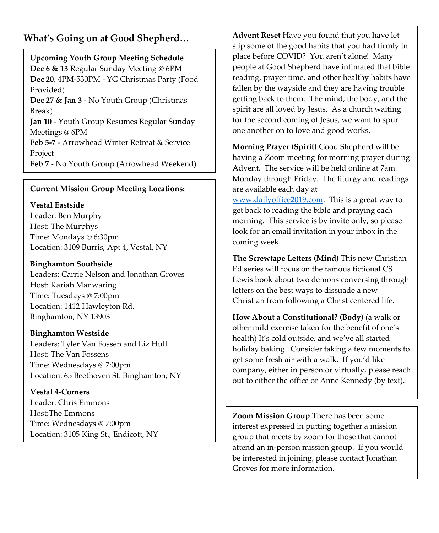#### **What's Going on at Good Shepherd…**

**Upcoming Youth Group Meeting Schedule Dec 6 & 13** Regular Sunday Meeting @ 6PM **Dec 20**, 4PM-530PM - YG Christmas Party (Food Provided)

**Dec 27 & Jan 3** - No Youth Group (Christmas Break)

**Jan 10** - Youth Group Resumes Regular Sunday Meetings @ 6PM

**Feb 5-7** - Arrowhead Winter Retreat & Service Project

**Feb 7** - No Youth Group (Arrowhead Weekend)

#### **Current Mission Group Meeting Locations:**

#### **Vestal Eastside**

Leader: Ben Murphy Host: The Murphys Time: Mondays @ 6:30pm Location: 3109 Burris, Apt 4, Vestal, NY

#### **Binghamton Southside**

Leaders: Carrie Nelson and Jonathan Groves Host: Kariah Manwaring Time: Tuesdays @ 7:00pm Location: 1412 Hawleyton Rd. Binghamton, NY 13903

#### **Binghamton Westside**

Leaders: Tyler Van Fossen and Liz Hull Host: The Van Fossens Time: Wednesdays @ 7:00pm Location: 65 Beethoven St. Binghamton, NY

**Vestal 4-Corners** Leader: Chris Emmons Host:The Emmons Time: Wednesdays @ 7:00pm Location: 3105 King St., Endicott, NY **Advent Reset** Have you found that you have let slip some of the good habits that you had firmly in place before COVID? You aren't alone! Many people at Good Shepherd have intimated that bible reading, prayer time, and other healthy habits have fallen by the wayside and they are having trouble getting back to them. The mind, the body, and the spirit are all loved by Jesus. As a church waiting for the second coming of Jesus, we want to spur one another on to love and good works.

**Morning Prayer (Spirit)** Good Shepherd will be having a Zoom meeting for morning prayer during Advent. The service will be held online at 7am Monday through Friday. The liturgy and readings are available each day at [www.dailyoffice2019.com.](http://www.dailyoffice2019.com/) This is a great way to get back to reading the bible and praying each morning. This service is by invite only, so please look for an email invitation in your inbox in the coming week.

**The Screwtape Letters (Mind)** This new Christian Ed series will focus on the famous fictional CS Lewis book about two demons conversing through letters on the best ways to dissuade a new Christian from following a Christ centered life.

**How About a Constitutional? (Body)** (a walk or other mild exercise taken for the benefit of one's health) It's cold outside, and we've all started holiday baking. Consider taking a few moments to get some fresh air with a walk. If you'd like company, either in person or virtually, please reach out to either the office or Anne Kennedy (by text).

**Zoom Mission Group** There has been some interest expressed in putting together a mission group that meets by zoom for those that cannot attend an in-person mission group. If you would be interested in joining, please contact Jonathan Groves for more information.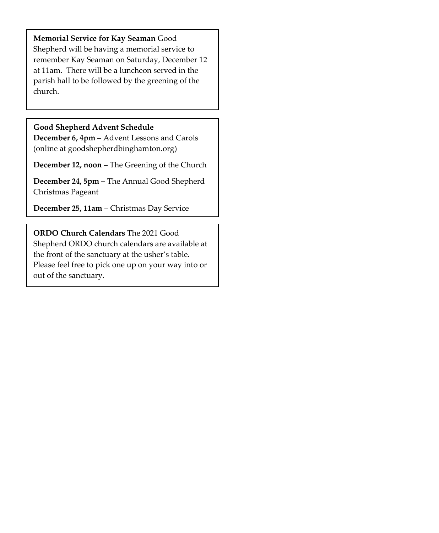**Memorial Service for Kay Seaman** Good Shepherd will be having a memorial service to remember Kay Seaman on Saturday, December 12 at 11am. There will be a luncheon served in the parish hall to be followed by the greening of the church.

#### **Good Shepherd Advent Schedule**

**December 6, 4pm –** Advent Lessons and Carols (online at goodshepherdbinghamton.org)

**December 12, noon –** The Greening of the Church

**December 24, 5pm –** The Annual Good Shepherd Christmas Pageant

**December 25, 11am** – Christmas Day Service

## **ORDO Church Calendars** The 2021 Good

Shepherd ORDO church calendars are available at the front of the sanctuary at the usher's table. Please feel free to pick one up on your way into or out of the sanctuary.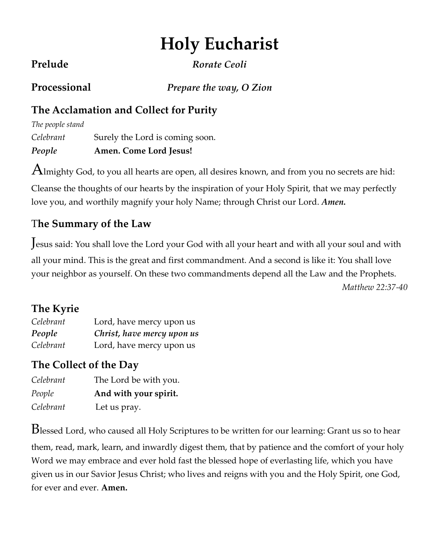# **Holy Eucharist**

**Prelude** *Rorate Ceoli*

**Processional** *Prepare the way, O Zion*

## **The Acclamation and Collect for Purity**

| People           | Amen. Come Lord Jesus!          |
|------------------|---------------------------------|
| Celebrant        | Surely the Lord is coming soon. |
| The people stand |                                 |

 $A$ lmighty God, to you all hearts are open, all desires known, and from you no secrets are hid:

Cleanse the thoughts of our hearts by the inspiration of your Holy Spirit, that we may perfectly love you, and worthily magnify your holy Name; through Christ our Lord. *Amen.*

## T**he Summary of the Law**

Jesus said: You shall love the Lord your God with all your heart and with all your soul and with all your mind. This is the great and first commandment. And a second is like it: You shall love your neighbor as yourself. On these two commandments depend all the Law and the Prophets. *Matthew 22:37-40*

## **The Kyrie**

| Celebrant | Lord, have mercy upon us   |
|-----------|----------------------------|
| People    | Christ, have mercy upon us |
| Celebrant | Lord, have mercy upon us   |

## **The Collect of the Day**

| Celebrant | The Lord be with you. |
|-----------|-----------------------|
| People    | And with your spirit. |
| Celebrant | Let us pray.          |

Blessed Lord, who caused all Holy Scriptures to be written for our learning: Grant us so to hear them, read, mark, learn, and inwardly digest them, that by patience and the comfort of your holy Word we may embrace and ever hold fast the blessed hope of everlasting life, which you have given us in our Savior Jesus Christ; who lives and reigns with you and the Holy Spirit, one God, for ever and ever. **Amen.**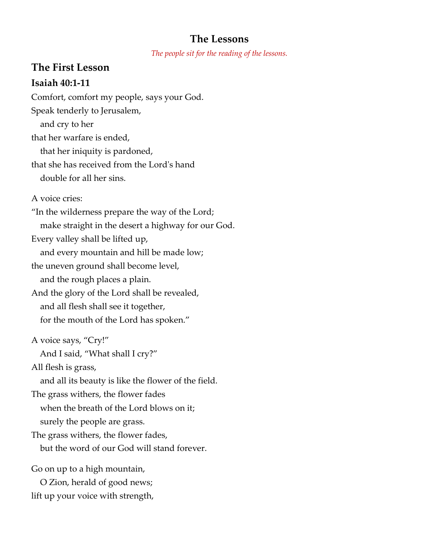#### **The Lessons**

*The people sit for the reading of the lessons.*

#### **The First Lesson**

#### **Isaiah 40:1-11**

Comfort, comfort my people, says your God. Speak tenderly to Jerusalem, and cry to her that her warfare is ended, that her iniquity is pardoned, that she has received from the Lord's hand double for all her sins. A voice cries: "In the wilderness prepare the way of the Lord; make straight in the desert a highway for our God. Every valley shall be lifted up, and every mountain and hill be made low; the uneven ground shall become level, and the rough places a plain. And the glory of the Lord shall be revealed, and all flesh shall see it together, for the mouth of the Lord has spoken." A voice says, "Cry!" And I said, "What shall I cry?" All flesh is grass, and all its beauty is like the flower of the field. The grass withers, the flower fades when the breath of the Lord blows on it; surely the people are grass. The grass withers, the flower fades, but the word of our God will stand forever. Go on up to a high mountain, O Zion, herald of good news;

lift up your voice with strength,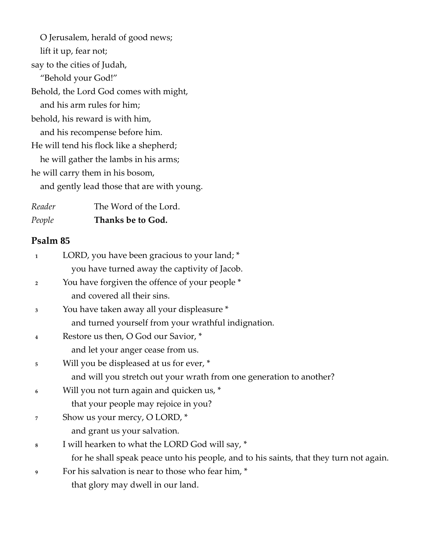O Jerusalem, herald of good news; lift it up, fear not; say to the cities of Judah, "Behold your God!" Behold, the Lord God comes with might, and his arm rules for him; behold, his reward is with him, and his recompense before him. He will tend his flock like a shepherd; he will gather the lambs in his arms; he will carry them in his bosom, and gently lead those that are with young.

| Reader | The Word of the Lord. |
|--------|-----------------------|
| People | Thanks be to God.     |

#### **Psalm 85**

| 1                       | LORD, you have been gracious to your land; *                                           |
|-------------------------|----------------------------------------------------------------------------------------|
|                         | you have turned away the captivity of Jacob.                                           |
| $\overline{\mathbf{2}}$ | You have forgiven the offence of your people *                                         |
|                         | and covered all their sins.                                                            |
| 3                       | You have taken away all your displeasure *                                             |
|                         | and turned yourself from your wrathful indignation.                                    |
| 4                       | Restore us then, O God our Savior, *                                                   |
|                         | and let your anger cease from us.                                                      |
| 5                       | Will you be displeased at us for ever, *                                               |
|                         | and will you stretch out your wrath from one generation to another?                    |
| 6                       | Will you not turn again and quicken us, *                                              |
|                         | that your people may rejoice in you?                                                   |
| 7                       | Show us your mercy, O LORD, *                                                          |
|                         | and grant us your salvation.                                                           |
| 8                       | I will hearken to what the LORD God will say, *                                        |
|                         | for he shall speak peace unto his people, and to his saints, that they turn not again. |
| 9                       | For his salvation is near to those who fear him, *                                     |
|                         | that glory may dwell in our land.                                                      |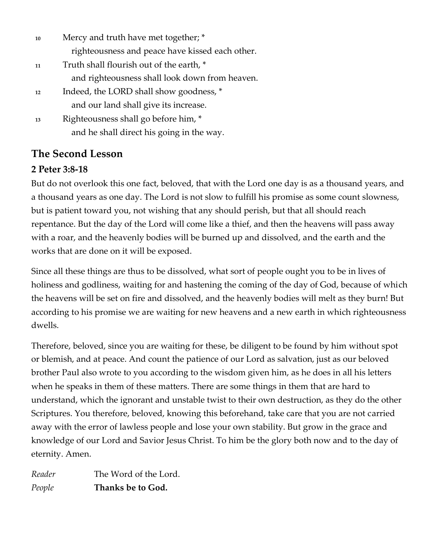| 10 | Mercy and truth have met together; *            |
|----|-------------------------------------------------|
|    | righteousness and peace have kissed each other. |
| 11 | Truth shall flourish out of the earth, *        |
|    | and righteousness shall look down from heaven.  |
| 12 | Indeed, the LORD shall show goodness, *         |
|    | and our land shall give its increase.           |
| 13 | Righteousness shall go before him, *            |
|    | and he shall direct his going in the way.       |

## **The Second Lesson**

#### **2 Peter 3:8-18**

But do not overlook this one fact, beloved, that with the Lord one day is as a thousand years, and a thousand years as one day. The Lord is not slow to fulfill his promise as some count slowness, but is patient toward you, not wishing that any should perish, but that all should reach repentance. But the day of the Lord will come like a thief, and then the heavens will pass away with a roar, and the heavenly bodies will be burned up and dissolved, and the earth and the works that are done on it will be exposed.

Since all these things are thus to be dissolved, what sort of people ought you to be in lives of holiness and godliness, waiting for and hastening the coming of the day of God, because of which the heavens will be set on fire and dissolved, and the heavenly bodies will melt as they burn! But according to his promise we are waiting for new heavens and a new earth in which righteousness dwells.

Therefore, beloved, since you are waiting for these, be diligent to be found by him without spot or blemish, and at peace. And count the patience of our Lord as salvation, just as our beloved brother Paul also wrote to you according to the wisdom given him, as he does in all his letters when he speaks in them of these matters. There are some things in them that are hard to understand, which the ignorant and unstable twist to their own destruction, as they do the other Scriptures. You therefore, beloved, knowing this beforehand, take care that you are not carried away with the error of lawless people and lose your own stability. But grow in the grace and knowledge of our Lord and Savior Jesus Christ. To him be the glory both now and to the day of eternity. Amen.

*Reader* The Word of the Lord. *People* **Thanks be to God.**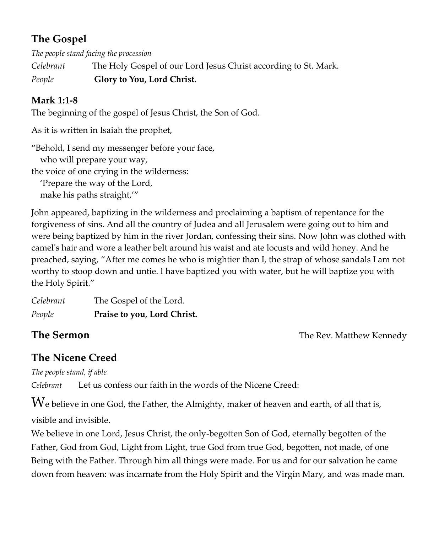## **The Gospel**

*The people stand facing the procession*

*Celebrant* The Holy Gospel of our Lord Jesus Christ according to St. Mark.

*People* **Glory to You, Lord Christ.**

#### **Mark 1:1-8**

The beginning of the gospel of Jesus Christ, the Son of God.

As it is written in Isaiah the prophet,

"Behold, I send my messenger before your face, who will prepare your way, the voice of one crying in the wilderness: 'Prepare the way of the Lord, make his paths straight,'"

John appeared, baptizing in the wilderness and proclaiming a baptism of repentance for the forgiveness of sins. And all the country of Judea and all Jerusalem were going out to him and were being baptized by him in the river Jordan, confessing their sins. Now John was clothed with camel's hair and wore a leather belt around his waist and ate locusts and wild honey. And he preached, saying, "After me comes he who is mightier than I, the strap of whose sandals I am not worthy to stoop down and untie. I have baptized you with water, but he will baptize you with the Holy Spirit."

*Celebrant* The Gospel of the Lord. *People* **Praise to you, Lord Christ.**

**The Sermon CONFIDENTIAL CONFIDENTIAL SERV. Matthew Kennedy** 

## **The Nicene Creed**

*The people stand, if able*

*Celebrant* Let us confess our faith in the words of the Nicene Creed:

We believe in one God, the Father, the Almighty, maker of heaven and earth, of all that is, visible and invisible.

We believe in one Lord, Jesus Christ, the only-begotten Son of God, eternally begotten of the Father, God from God, Light from Light, true God from true God, begotten, not made, of one Being with the Father. Through him all things were made. For us and for our salvation he came down from heaven: was incarnate from the Holy Spirit and the Virgin Mary, and was made man.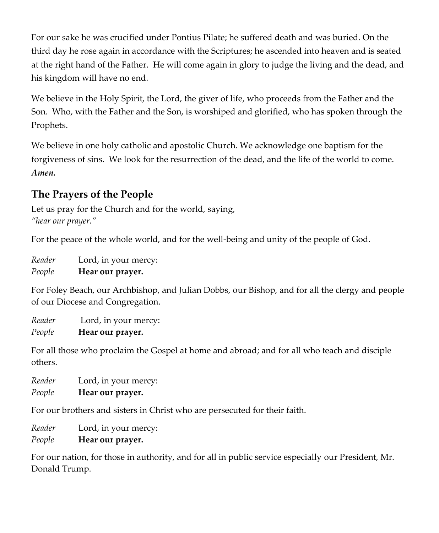For our sake he was crucified under Pontius Pilate; he suffered death and was buried. On the third day he rose again in accordance with the Scriptures; he ascended into heaven and is seated at the right hand of the Father. He will come again in glory to judge the living and the dead, and his kingdom will have no end.

We believe in the Holy Spirit, the Lord, the giver of life, who proceeds from the Father and the Son. Who, with the Father and the Son, is worshiped and glorified, who has spoken through the Prophets.

We believe in one holy catholic and apostolic Church. We acknowledge one baptism for the forgiveness of sins. We look for the resurrection of the dead, and the life of the world to come. *Amen.*

## **The Prayers of the People**

Let us pray for the Church and for the world, saying, *"hear our prayer."* 

For the peace of the whole world, and for the well-being and unity of the people of God.

*Reader* Lord, in your mercy: *People* **Hear our prayer.** 

For Foley Beach, our Archbishop, and Julian Dobbs, our Bishop, and for all the clergy and people of our Diocese and Congregation.

*Reader* Lord, in your mercy: *People* **Hear our prayer.** 

For all those who proclaim the Gospel at home and abroad; and for all who teach and disciple others.

*Reader* Lord, in your mercy: *People* **Hear our prayer.** 

For our brothers and sisters in Christ who are persecuted for their faith.

*Reader* Lord, in your mercy:

*People* **Hear our prayer.** 

For our nation, for those in authority, and for all in public service especially our President, Mr. Donald Trump.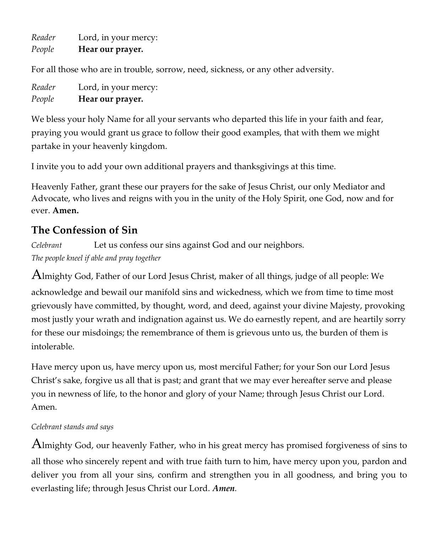*Reader* Lord, in your mercy: *People* **Hear our prayer.**

For all those who are in trouble, sorrow, need, sickness, or any other adversity.

| Reader | Lord, in your mercy: |
|--------|----------------------|
| People | Hear our prayer.     |

We bless your holy Name for all your servants who departed this life in your faith and fear, praying you would grant us grace to follow their good examples, that with them we might partake in your heavenly kingdom.

I invite you to add your own additional prayers and thanksgivings at this time.

Heavenly Father, grant these our prayers for the sake of Jesus Christ, our only Mediator and Advocate, who lives and reigns with you in the unity of the Holy Spirit, one God, now and for ever. **Amen.**

## **The Confession of Sin**

*Celebrant* Let us confess our sins against God and our neighbors. *The people kneel if able and pray together*

Almighty God, Father of our Lord Jesus Christ, maker of all things, judge of all people: We acknowledge and bewail our manifold sins and wickedness, which we from time to time most grievously have committed, by thought, word, and deed, against your divine Majesty, provoking most justly your wrath and indignation against us. We do earnestly repent, and are heartily sorry for these our misdoings; the remembrance of them is grievous unto us, the burden of them is intolerable.

Have mercy upon us, have mercy upon us, most merciful Father; for your Son our Lord Jesus Christ's sake, forgive us all that is past; and grant that we may ever hereafter serve and please you in newness of life, to the honor and glory of your Name; through Jesus Christ our Lord. Amen.

#### *Celebrant stands and says*

Almighty God, our heavenly Father, who in his great mercy has promised forgiveness of sins to all those who sincerely repent and with true faith turn to him, have mercy upon you, pardon and deliver you from all your sins, confirm and strengthen you in all goodness, and bring you to everlasting life; through Jesus Christ our Lord. *Amen.*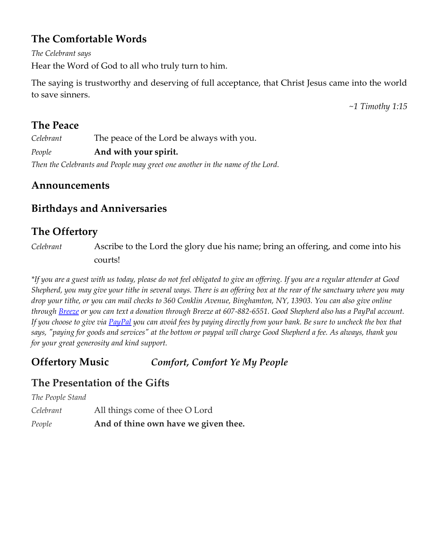## **The Comfortable Words**

*The Celebrant says*

Hear the Word of God to all who truly turn to him.

The saying is trustworthy and deserving of full acceptance, that Christ Jesus came into the world to save sinners.

*~1 Timothy 1:15*

#### **The Peace**

*Celebrant* The peace of the Lord be always with you.

*People* **And with your spirit.**

*Then the Celebrants and People may greet one another in the name of the Lord.*

#### **Announcements**

#### **Birthdays and Anniversaries**

## **The Offertory**

*Celebrant* Ascribe to the Lord the glory due his name; bring an offering, and come into his courts!

*\*If you are a guest with us today, please do not feel obligated to give an offering. If you are a regular attender at Good Shepherd, you may give your tithe in several ways. There is an offering box at the rear of the sanctuary where you may drop your tithe, or you can mail checks to 360 Conklin Avenue, Binghamton, NY, 13903. You can also give online throug[h Breeze](https://goodshepherdbinghamton.breezechms.com/give/online) or you can text a donation through Breeze at 607-882-6551. Good Shepherd also has a PayPal account. If you choose to give vi[a PayPal](https://www.paypal.me/GSBinghamton?utm_source=unp&utm_medium=email&utm_campaign=PPC000654&utm_unptid=42acbf38-6ada-11ea-b9a4-b875c0f50354&ppid=PPC000654&cnac=US&rsta=en_US&cust=8MVRVDQC795TS&unptid=42acbf38-6ada-11ea-b9a4-b875c0f50354&calc=69b6c6cb4a105&unp_tpcid=ppme-social-business-profile-created&page=main:email:PPC000654:::&pgrp=main:email&e=cl&mchn=em&s=ci&mail=sys) you can avoid fees by paying directly from your bank. Be sure to uncheck the box that says, "paying for goods and services" at the bottom or paypal will charge Good Shepherd a fee. As always, thank you for your great generosity and kind support.*

#### **Offertory Music** *Comfort, Comfort Ye My People*

#### **The Presentation of the Gifts**

*The People Stand*

*Celebrant* All things come of thee O Lord

*People* **And of thine own have we given thee.**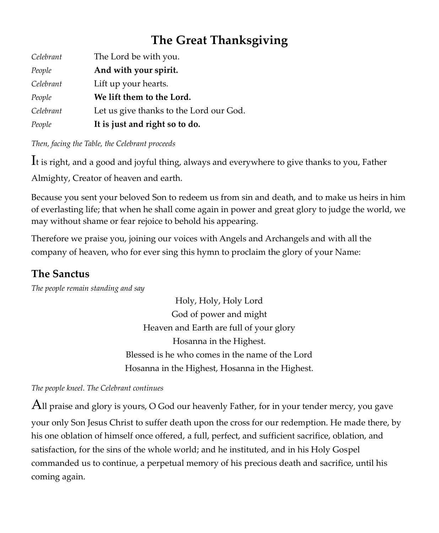## **The Great Thanksgiving**

| Celebrant | The Lord be with you.                   |
|-----------|-----------------------------------------|
| People    | And with your spirit.                   |
| Celebrant | Lift up your hearts.                    |
| People    | We lift them to the Lord.               |
| Celebrant | Let us give thanks to the Lord our God. |
| People    | It is just and right so to do.          |

*Then, facing the Table, the Celebrant proceeds*

It is right, and a good and joyful thing, always and everywhere to give thanks to you, Father

Almighty, Creator of heaven and earth.

Because you sent your beloved Son to redeem us from sin and death, and to make us heirs in him of everlasting life; that when he shall come again in power and great glory to judge the world, we may without shame or fear rejoice to behold his appearing.

Therefore we praise you, joining our voices with Angels and Archangels and with all the company of heaven, who for ever sing this hymn to proclaim the glory of your Name:

## **The Sanctus**

*The people remain standing and say*

Holy, Holy, Holy Lord God of power and might Heaven and Earth are full of your glory Hosanna in the Highest. Blessed is he who comes in the name of the Lord Hosanna in the Highest, Hosanna in the Highest.

*The people kneel. The Celebrant continues*

All praise and glory is yours, O God our heavenly Father, for in your tender mercy, you gave your only Son Jesus Christ to suffer death upon the cross for our redemption. He made there, by his one oblation of himself once offered, a full, perfect, and sufficient sacrifice, oblation, and satisfaction, for the sins of the whole world; and he instituted, and in his Holy Gospel commanded us to continue, a perpetual memory of his precious death and sacrifice, until his coming again.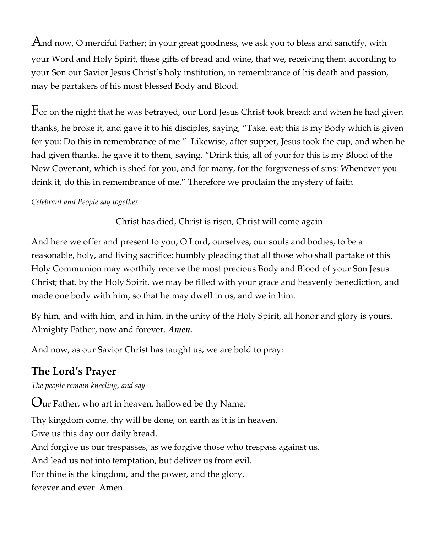And now, O merciful Father; in your great goodness, we ask you to bless and sanctify, with your Word and Holy Spirit, these gifts of bread and wine, that we, receiving them according to your Son our Savior Jesus Christ's holy institution, in remembrance of his death and passion, may be partakers of his most blessed Body and Blood.

 $F$ or on the night that he was betrayed, our Lord Jesus Christ took bread; and when he had given thanks, he broke it, and gave it to his disciples, saying, "Take, eat; this is my Body which is given for you: Do this in remembrance of me." Likewise, after supper, Jesus took the cup, and when he had given thanks, he gave it to them, saying, "Drink this, all of you; for this is my Blood of the New Covenant, which is shed for you, and for many, for the forgiveness of sins: Whenever you drink it, do this in remembrance of me." Therefore we proclaim the mystery of faith

#### *Celebrant and People say together*

#### Christ has died, Christ is risen, Christ will come again

And here we offer and present to you, O Lord, ourselves, our souls and bodies, to be a reasonable, holy, and living sacrifice; humbly pleading that all those who shall partake of this Holy Communion may worthily receive the most precious Body and Blood of your Son Jesus Christ; that, by the Holy Spirit, we may be filled with your grace and heavenly benediction, and made one body with him, so that he may dwell in us, and we in him.

By him, and with him, and in him, in the unity of the Holy Spirit, all honor and glory is yours, Almighty Father, now and forever. *Amen.*

And now, as our Savior Christ has taught us, we are bold to pray:

#### **The Lord's Prayer**

*The people remain kneeling, and say*

Our Father, who art in heaven, hallowed be thy Name. Thy kingdom come, thy will be done, on earth as it is in heaven. Give us this day our daily bread. And forgive us our trespasses, as we forgive those who trespass against us. And lead us not into temptation, but deliver us from evil. For thine is the kingdom, and the power, and the glory, forever and ever. Amen.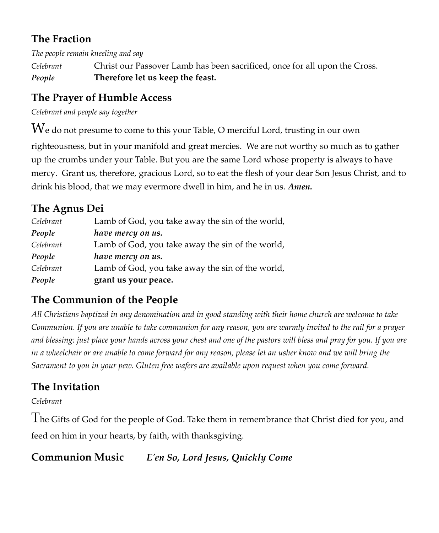## **The Fraction**

*The people remain kneeling and say*

*Celebrant* Christ our Passover Lamb has been sacrificed, once for all upon the Cross. *People* **Therefore let us keep the feast.** 

## **The Prayer of Humble Access**

*Celebrant and people say together*

 $\operatorname{We}$  do not presume to come to this your Table, O merciful Lord, trusting in our own righteousness, but in your manifold and great mercies. We are not worthy so much as to gather up the crumbs under your Table. But you are the same Lord whose property is always to have mercy. Grant us, therefore, gracious Lord, so to eat the flesh of your dear Son Jesus Christ, and to drink his blood, that we may evermore dwell in him, and he in us. *Amen.*

## **The Agnus Dei**

| Celebrant | Lamb of God, you take away the sin of the world, |
|-----------|--------------------------------------------------|
| People    | have mercy on us.                                |
| Celebrant | Lamb of God, you take away the sin of the world, |
| People    | have mercy on us.                                |
| Celebrant | Lamb of God, you take away the sin of the world, |
| People    | grant us your peace.                             |

## **The Communion of the People**

*All Christians baptized in any denomination and in good standing with their home church are welcome to take Communion. If you are unable to take communion for any reason, you are warmly invited to the rail for a prayer and blessing: just place your hands across your chest and one of the pastors will bless and pray for you. If you are in a wheelchair or are unable to come forward for any reason, please let an usher know and we will bring the Sacrament to you in your pew. Gluten free wafers are available upon request when you come forward.*

## **The Invitation**

*Celebrant*

The Gifts of God for the people of God. Take them in remembrance that Christ died for you, and feed on him in your hearts, by faith, with thanksgiving.

**Communion Music** *E'en So, Lord Jesus, Quickly Come*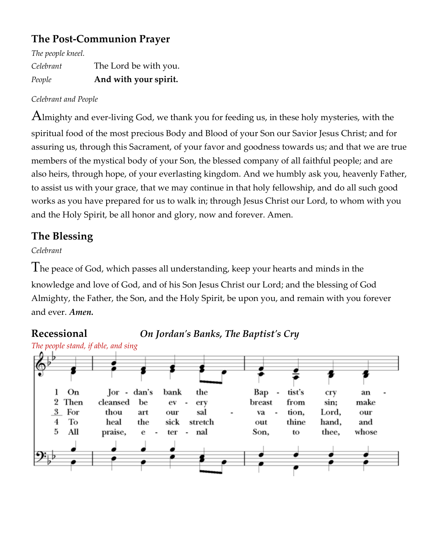## **The Post-Communion Prayer**

*The people kneel.* 

*Celebrant* The Lord be with you. *People* **And with your spirit.**

#### *Celebrant and People*

Almighty and ever-living God, we thank you for feeding us, in these holy mysteries, with the spiritual food of the most precious Body and Blood of your Son our Savior Jesus Christ; and for assuring us, through this Sacrament, of your favor and goodness towards us; and that we are true members of the mystical body of your Son, the blessed company of all faithful people; and are also heirs, through hope, of your everlasting kingdom. And we humbly ask you, heavenly Father, to assist us with your grace, that we may continue in that holy fellowship, and do all such good works as you have prepared for us to walk in; through Jesus Christ our Lord, to whom with you and the Holy Spirit, be all honor and glory, now and forever. Amen.

## **The Blessing**

#### *Celebrant*

The peace of God, which passes all understanding, keep your hearts and minds in the knowledge and love of God, and of his Son Jesus Christ our Lord; and the blessing of God Almighty, the Father, the Son, and the Holy Spirit, be upon you, and remain with you forever and ever. *Amen.*

**Recessional** *On Jordan's Banks, The Baptist's Cry*

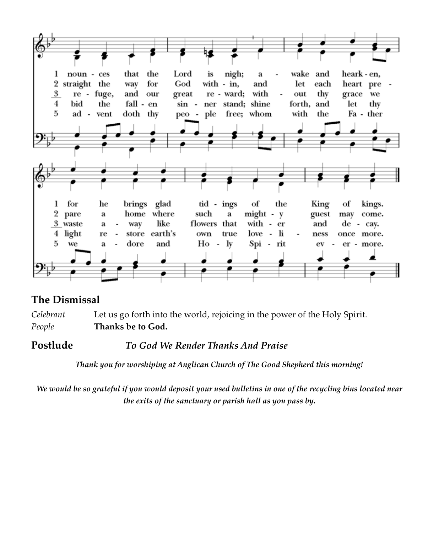

## **The Dismissal**

*Celebrant* Let us go forth into the world, rejoicing in the power of the Holy Spirit. *People* **Thanks be to God.** 

**Postlude** *To God We Render Thanks And Praise*

*Thank you for worshiping at Anglican Church of The Good Shepherd this morning!*

*We would be so grateful if you would deposit your used bulletins in one of the recycling bins located near the exits of the sanctuary or parish hall as you pass by.*